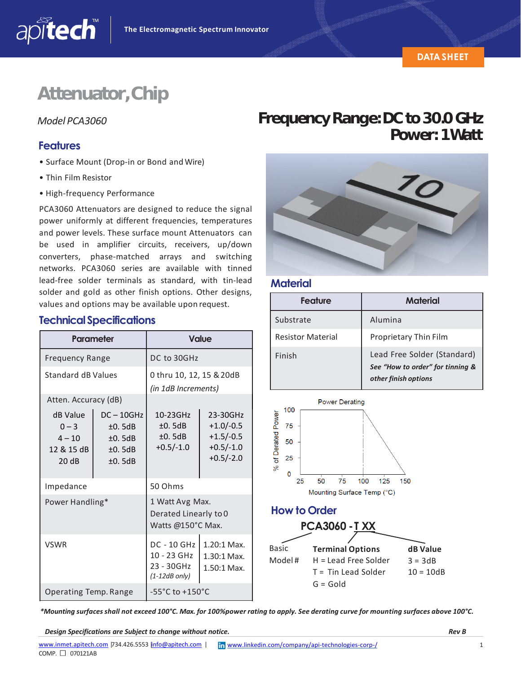# **Attenuator,Chip**

#### **Features**

apitech

- Surface Mount (Drop‐in or Bond and Wire)
- Thin Film Resistor
- High‐frequency Performance

PCA3060 Attenuators are designed to reduce the signal power uniformly at different frequencies, temperatures and power levels. These surface mount Attenuators can be used in amplifier circuits, receivers, up/down converters, phase‐matched arrays and switching networks. PCA3060 series are available with tinned lead‐free solder terminals as standard, with tin‐lead solder and gold as other finish options. Other designs, values and options may be available upon request.

### **TechnicalSpecifications**

| <b>Parameter</b>                                      |                                                      | <b>Value</b>                                                       |                                                                      |
|-------------------------------------------------------|------------------------------------------------------|--------------------------------------------------------------------|----------------------------------------------------------------------|
| <b>Frequency Range</b>                                |                                                      | DC to 30GHz                                                        |                                                                      |
| <b>Standard dB Values</b>                             |                                                      | 0 thru 10, 12, 15 & 20dB<br>(in 1dB Increments)                    |                                                                      |
| Atten. Accuracy (dB)                                  |                                                      |                                                                    |                                                                      |
| dB Value<br>$0 - 3$<br>$4 - 10$<br>12 & 15 dB<br>20dB | $DC - 10GHz$<br>±0.5dB<br>±0.5dB<br>±0.5dB<br>±0.5dB | 10-23GHz<br>±0.5dB<br>±0.5dB<br>$+0.5/-1.0$                        | 23-30GHz<br>$+1.0/-0.5$<br>$+1.5/-0.5$<br>$+0.5/-1.0$<br>$+0.5/-2.0$ |
| Impedance                                             |                                                      | 50 Ohms                                                            |                                                                      |
| Power Handling*                                       |                                                      | 1 Watt Avg Max.<br>Derated Linearly to 0<br>Watts @150°C Max.      |                                                                      |
| <b>VSWR</b>                                           |                                                      | <b>DC - 10 GHz</b><br>10 - 23 GHz<br>23 - 30GHz<br>$(1-12dB only)$ | 1.20:1 Max.<br>1.30:1 Max.<br>1.50:1 Max.                            |
| Operating Temp. Range                                 |                                                      | $-55^{\circ}$ C to $+150^{\circ}$ C                                |                                                                      |

### *Model PCA3060* **FrequencyRange:DCto30.0GHz Power: 1Watt**



#### **Material**

| Feature                  | Material                                                                                |  |
|--------------------------|-----------------------------------------------------------------------------------------|--|
| Substrate                | Alumina                                                                                 |  |
| <b>Resistor Material</b> | Proprietary Thin Film                                                                   |  |
| Finish                   | Lead Free Solder (Standard)<br>See "How to order" for tinning &<br>other finish options |  |



*\*Mounting surfaces shall not exceed 100°C. Max. for 100%power rating to apply. See derating curve for mounting surfaces above 100°C.*

*Design Specifications are Subject to change without notice. Rev B*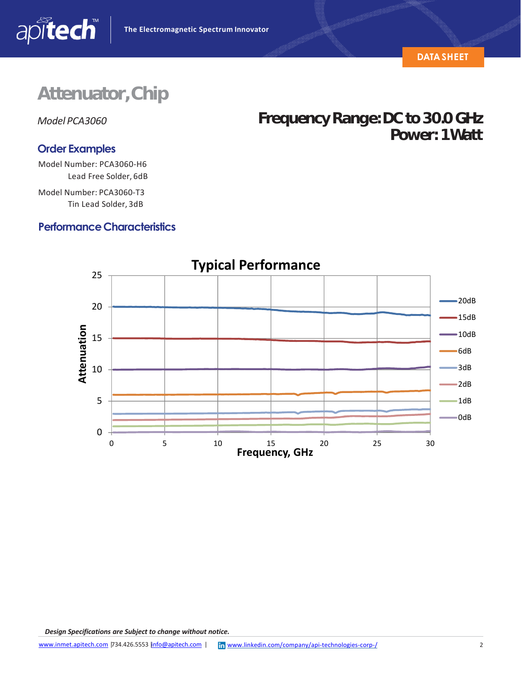

### **Attenuator,Chip**

apitech

### **Order Examples**

Model Number: PCA3060‐H6 Lead Free Solder, 6dB

Model Number: PCA3060‐T3 Tin Lead Solder, 3dB

#### **Performance Characteristics**



*Model PCA3060* **FrequencyRange:DCto30.0GHz**

**Power: 1Watt**

*Design Specifications are Subject to change without notice.*